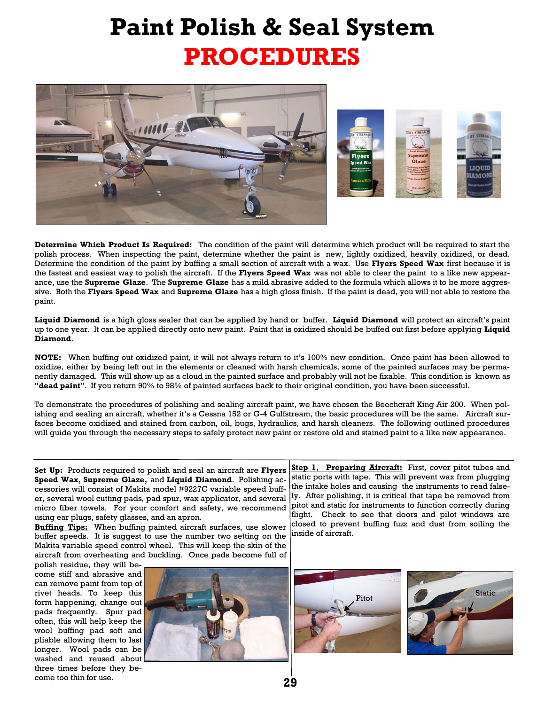## **Paint Polish & Seal System PROCEDURES**





**Determine Which Product Is Required:** The condition of the paint will determine which product will be required to start the polish process. When inspecting the paint, determine whether the paint is new, lightly oxidized, heavily oxidized, or dead. Determine the condition of the paint by buffing a small section of aircraft with a wax. Use **Flyers Speed Wax** first because it is the fastest and easiest way to polish the aircraft. If the **Flyers Speed Wax** was not able to clear the paint to a like new appearance, use the **Supreme Glaze**. The **Supreme Glaze** has a mild abrasive added to the formula which allows it to be more aggressive. Both the **Flyers Speed Wax** and **Supreme Glaze** has a high gloss finish. If the paint is dead, you will not able to restore the paint.

**Liquid Diamond** is a high gloss sealer that can be applied by hand or buffer. **Liquid Diamond** will protect an aircraft's paint up to one year. It can be applied directly onto new paint. Paint that is oxidized should be buffed out first before applying **Liquid Diamond**.

**NOTE:** When buffing out oxidized paint, it will not always return to it's 100% new condition. Once paint has been allowed to oxidize, either by being left out in the elements or cleaned with harsh chemicals, some of the painted surfaces may be permanently damaged. This will show up as a cloud in the painted surface and probably will not be fixable. This condition is known as "**dead paint**". If you return 90% to 98% of painted surfaces back to their original condition, you have been successful.

To demonstrate the procedures of polishing and sealing aircraft paint, we have chosen the Beechcraft King Air 200. When polishing and sealing an aircraft, whether it's a Cessna 152 or G-4 Gulfstream, the basic procedures will be the same. Aircraft surfaces become oxidized and stained from carbon, oil, bugs, hydraulics, and harsh cleaners. The following outlined procedures will guide you through the necessary steps to safely protect new paint or restore old and stained paint to a like new appearance.

**Set Up:** Products required to polish and seal an aircraft are **Flyers Speed Wax, Supreme Glaze,** and **Liquid Diamond**. Polishing accessories will consist of Makita model #9227C variable speed buffer, several wool cutting pads, pad spur, wax applicator, and several micro fiber towels. For your comfort and safety, we recommend using ear plugs, safety glasses, and an apron.

**Buffing Tips:** When buffing painted aircraft surfaces, use slower buffer speeds. It is suggest to use the number two setting on the Makita variable speed control wheel. This will keep the skin of the aircraft from overheating and buckling. Once pads become full of

polish residue, they will become stiff and abrasive and can remove paint from top of rivet heads. To keep this form happening, change out pads frequently. Spur pad often, this will help keep the wool buffing pad soft and pliable allowing them to last longer. Wool pads can be washed and reused about three times before they become too thin for use.



**Step 1, Preparing Aircraft:** First, cover pitot tubes and static ports with tape. This will prevent wax from plugging the intake holes and causing the instruments to read falsely. After polishing, it is critical that tape be removed from pitot and static for instruments to function correctly during flight. Check to see that doors and pilot windows are closed to prevent buffing fuzz and dust from soiling the inside of aircraft.